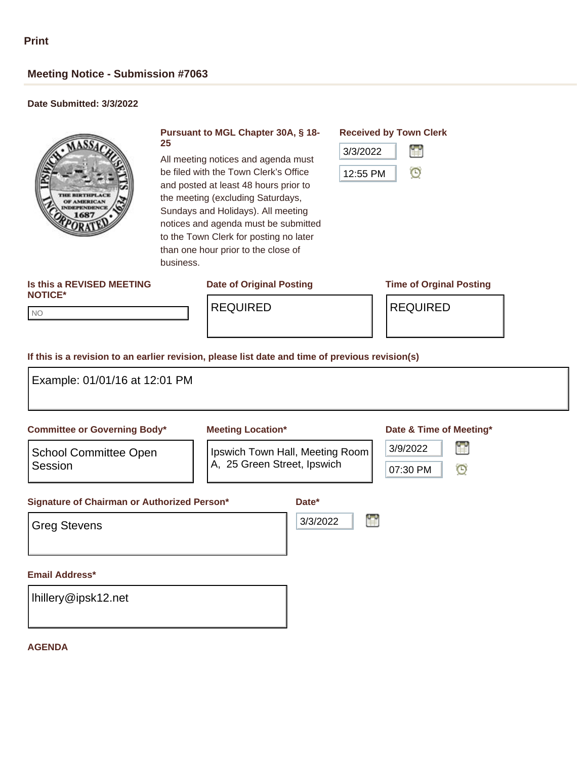# **Meeting Notice - Submission #7063**

## **Date Submitted: 3/3/2022**



#### **Pursuant to MGL Chapter 30A, § 18- 25**

All meeting notices and agenda must be filed with the Town Clerk's Office and posted at least 48 hours prior to the meeting (excluding Saturdays, Sundays and Holidays). All meeting notices and agenda must be submitted to the Town Clerk for posting no later than one hour prior to the close of business.

# **Received by Town Clerk**



#### **Is this a REVISED MEETING NOTICE\***

**Date of Original Posting Time of Orginal Posting**

NO NO

REQUIRED REQUIRED

### **If this is a revision to an earlier revision, please list date and time of previous revision(s)**

| <b>Committee or Governing Body*</b>                                                    | <b>Meeting Location*</b>                                                | Date & Time of Meeting*                        |
|----------------------------------------------------------------------------------------|-------------------------------------------------------------------------|------------------------------------------------|
| <b>School Committee Open</b><br>Session<br>Signature of Chairman or Authorized Person* | Ipswich Town Hall, Meeting Room<br>A, 25 Green Street, Ipswich<br>Date* | r<br>3/9/2022<br>07:30 PM<br>$\mathbf{\Theta}$ |
| <b>Greg Stevens</b>                                                                    | 3/3/2022                                                                | r                                              |
| <b>Email Address*</b>                                                                  |                                                                         |                                                |
| Ihillery@ipsk12.net                                                                    |                                                                         |                                                |

#### **AGENDA**